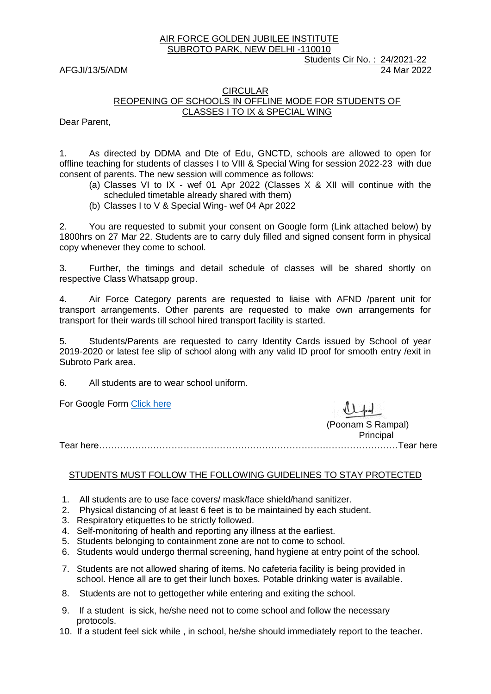#### AIR FORCE GOLDEN JUBILEE INSTITUTE SUBROTO PARK, NEW DELHI -110010

 Students Cir No. : 24/2021-22 AFGJI/13/5/ADM 2022

### **CIRCULAR** REOPENING OF SCHOOLS IN OFFLINE MODE FOR STUDENTS OF CLASSES I TO IX & SPECIAL WING

Dear Parent,

1. As directed by DDMA and Dte of Edu, GNCTD, schools are allowed to open for offline teaching for students of classes I to VIII & Special Wing for session 2022-23 with due consent of parents. The new session will commence as follows:

- (a) Classes VI to IX wef 01 Apr 2022 (Classes X & XII will continue with the scheduled timetable already shared with them)
- (b) Classes I to V & Special Wing- wef 04 Apr 2022

2. You are requested to submit your consent on Google form (Link attached below) by 1800hrs on 27 Mar 22. Students are to carry duly filled and signed consent form in physical copy whenever they come to school.

3. Further, the timings and detail schedule of classes will be shared shortly on respective Class Whatsapp group.

4. Air Force Category parents are requested to liaise with AFND /parent unit for transport arrangements. Other parents are requested to make own arrangements for transport for their wards till school hired transport facility is started.

5. Students/Parents are requested to carry Identity Cards issued by School of year 2019-2020 or latest fee slip of school along with any valid ID proof for smooth entry /exit in Subroto Park area.

6. All students are to wear school uniform.

For Google Form [Click here](https://docs.google.com/forms/d/e/1FAIpQLSdjLL4qnfr6hxhEzXL-byrn8ruGVTM8ubsP8SmDIRUMG9zgNg/viewform)

(Poonam S Rampal) Principal

Tear here………………………………………………………………………………………Tear here

## STUDENTS MUST FOLLOW THE FOLLOWING GUIDELINES TO STAY PROTECTED

- 1. All students are to use face covers/ mask/face shield/hand sanitizer.
- 2. Physical distancing of at least 6 feet is to be maintained by each student.
- 3. Respiratory etiquettes to be strictly followed.
- 4. Self-monitoring of health and reporting any illness at the earliest.
- 5. Students belonging to containment zone are not to come to school.
- 6. Students would undergo thermal screening, hand hygiene at entry point of the school.
- 7. Students are not allowed sharing of items. No cafeteria facility is being provided in school. Hence all are to get their lunch boxes. Potable drinking water is available.
- 8. Students are not to gettogether while entering and exiting the school.
- 9. If a student is sick, he/she need not to come school and follow the necessary protocols.
- 10. If a student feel sick while , in school, he/she should immediately report to the teacher.